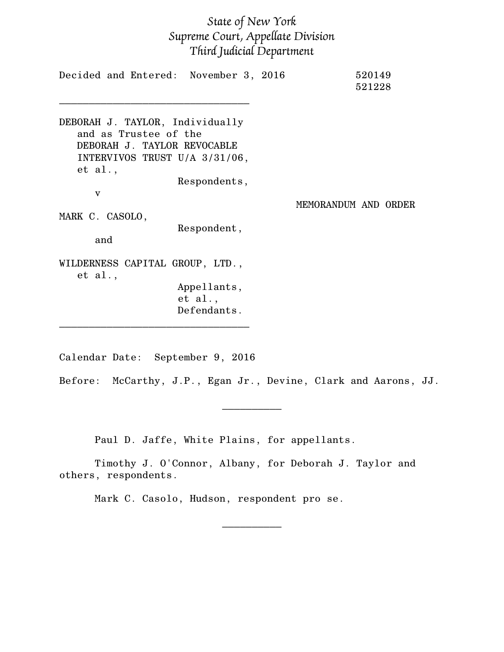## *State of New York Supreme Court, Appellate Division Third Judicial Department*

| Decided and Entered: November 3, 2016                                                                                               |                                       |                      | 520149<br>521228 |  |
|-------------------------------------------------------------------------------------------------------------------------------------|---------------------------------------|----------------------|------------------|--|
| DEBORAH J. TAYLOR, Individually<br>and as Trustee of the<br>DEBORAH J. TAYLOR REVOCABLE<br>INTERVIVOS TRUST U/A 3/31/06,<br>et al., | Respondents,                          |                      |                  |  |
| v                                                                                                                                   |                                       |                      |                  |  |
| MARK C. CASOLO,<br>and                                                                                                              | Respondent,                           | MEMORANDUM AND ORDER |                  |  |
| WILDERNESS CAPITAL GROUP, LTD.,<br>et al.,                                                                                          | Appellants,<br>et al.,<br>Defendants. |                      |                  |  |

Calendar Date: September 9, 2016

Before: McCarthy, J.P., Egan Jr., Devine, Clark and Aarons, JJ.

 $\frac{1}{2}$  ,  $\frac{1}{2}$  ,  $\frac{1}{2}$  ,  $\frac{1}{2}$  ,  $\frac{1}{2}$  ,  $\frac{1}{2}$ 

 $\overline{\phantom{a}}$   $\overline{\phantom{a}}$   $\overline{\phantom{a}}$   $\overline{\phantom{a}}$   $\overline{\phantom{a}}$   $\overline{\phantom{a}}$   $\overline{\phantom{a}}$   $\overline{\phantom{a}}$   $\overline{\phantom{a}}$   $\overline{\phantom{a}}$   $\overline{\phantom{a}}$   $\overline{\phantom{a}}$   $\overline{\phantom{a}}$   $\overline{\phantom{a}}$   $\overline{\phantom{a}}$   $\overline{\phantom{a}}$   $\overline{\phantom{a}}$   $\overline{\phantom{a}}$   $\overline{\$ 

Paul D. Jaffe, White Plains, for appellants.

Timothy J. O'Connor, Albany, for Deborah J. Taylor and others, respondents.

Mark C. Casolo, Hudson, respondent pro se.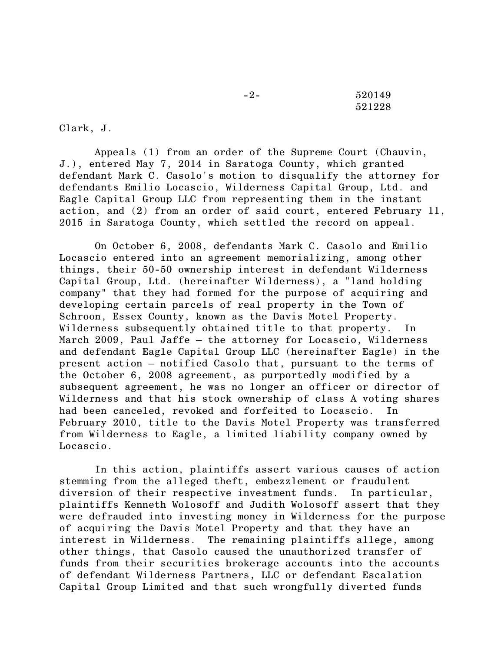-2- 520149 521228

Clark, J.

Appeals (1) from an order of the Supreme Court (Chauvin, J.), entered May 7, 2014 in Saratoga County, which granted defendant Mark C. Casolo's motion to disqualify the attorney for defendants Emilio Locascio, Wilderness Capital Group, Ltd. and Eagle Capital Group LLC from representing them in the instant action, and (2) from an order of said court, entered February 11, 2015 in Saratoga County, which settled the record on appeal.

On October 6, 2008, defendants Mark C. Casolo and Emilio Locascio entered into an agreement memorializing, among other things, their 50-50 ownership interest in defendant Wilderness Capital Group, Ltd. (hereinafter Wilderness), a "land holding company" that they had formed for the purpose of acquiring and developing certain parcels of real property in the Town of Schroon, Essex County, known as the Davis Motel Property. Wilderness subsequently obtained title to that property. In March 2009, Paul Jaffe – the attorney for Locascio, Wilderness and defendant Eagle Capital Group LLC (hereinafter Eagle) in the present action – notified Casolo that, pursuant to the terms of the October 6, 2008 agreement, as purportedly modified by a subsequent agreement, he was no longer an officer or director of Wilderness and that his stock ownership of class A voting shares had been canceled, revoked and forfeited to Locascio. In February 2010, title to the Davis Motel Property was transferred from Wilderness to Eagle, a limited liability company owned by Locascio.

In this action, plaintiffs assert various causes of action stemming from the alleged theft, embezzlement or fraudulent diversion of their respective investment funds. In particular, plaintiffs Kenneth Wolosoff and Judith Wolosoff assert that they were defrauded into investing money in Wilderness for the purpose of acquiring the Davis Motel Property and that they have an interest in Wilderness. The remaining plaintiffs allege, among other things, that Casolo caused the unauthorized transfer of funds from their securities brokerage accounts into the accounts of defendant Wilderness Partners, LLC or defendant Escalation Capital Group Limited and that such wrongfully diverted funds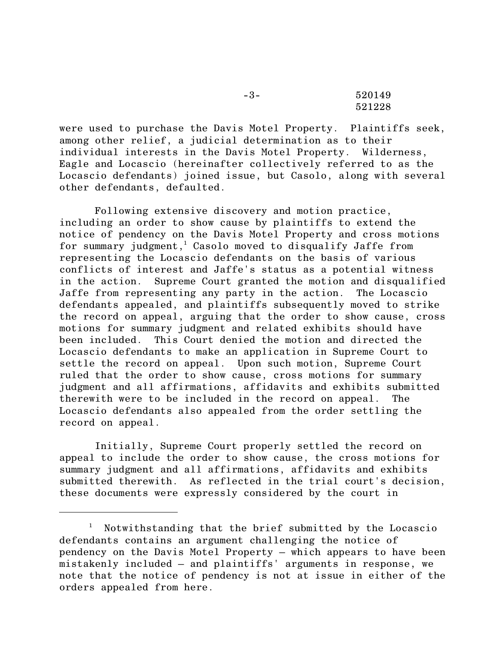-3- 520149 521228

were used to purchase the Davis Motel Property. Plaintiffs seek, among other relief, a judicial determination as to their individual interests in the Davis Motel Property. Wilderness, Eagle and Locascio (hereinafter collectively referred to as the Locascio defendants) joined issue, but Casolo, along with several other defendants, defaulted.

Following extensive discovery and motion practice, including an order to show cause by plaintiffs to extend the notice of pendency on the Davis Motel Property and cross motions for summary judgment,<sup>1</sup> Casolo moved to disqualify Jaffe from representing the Locascio defendants on the basis of various conflicts of interest and Jaffe's status as a potential witness in the action. Supreme Court granted the motion and disqualified Jaffe from representing any party in the action. The Locascio defendants appealed, and plaintiffs subsequently moved to strike the record on appeal, arguing that the order to show cause, cross motions for summary judgment and related exhibits should have been included. This Court denied the motion and directed the Locascio defendants to make an application in Supreme Court to settle the record on appeal. Upon such motion, Supreme Court ruled that the order to show cause, cross motions for summary judgment and all affirmations, affidavits and exhibits submitted therewith were to be included in the record on appeal. The Locascio defendants also appealed from the order settling the record on appeal.

Initially, Supreme Court properly settled the record on appeal to include the order to show cause, the cross motions for summary judgment and all affirmations, affidavits and exhibits submitted therewith. As reflected in the trial court's decision, these documents were expressly considered by the court in

<sup>&</sup>lt;sup>1</sup> Notwithstanding that the brief submitted by the Locascio defendants contains an argument challenging the notice of pendency on the Davis Motel Property – which appears to have been mistakenly included – and plaintiffs' arguments in response, we note that the notice of pendency is not at issue in either of the orders appealed from here.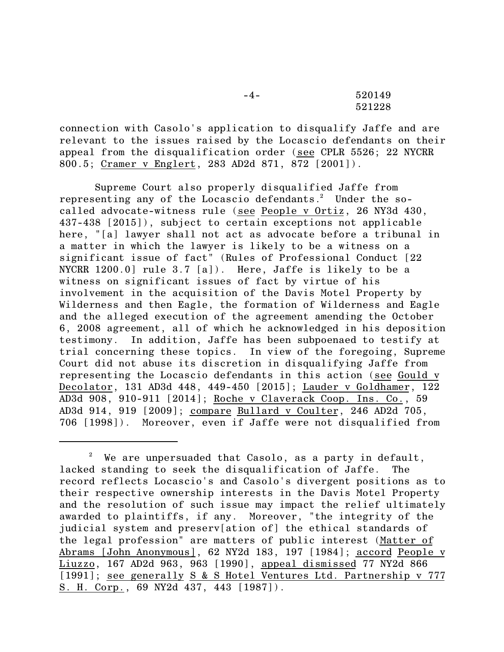-4- 520149 521228

connection with Casolo's application to disqualify Jaffe and are relevant to the issues raised by the Locascio defendants on their appeal from the disqualification order (see CPLR 5526; 22 NYCRR 800.5; Cramer v Englert, 283 AD2d 871, 872 [2001]).

Supreme Court also properly disqualified Jaffe from representing any of the Locascio defendants.<sup>2</sup> Under the socalled advocate-witness rule (see People v Ortiz, 26 NY3d 430, 437-438 [2015]), subject to certain exceptions not applicable here, "[a] lawyer shall not act as advocate before a tribunal in a matter in which the lawyer is likely to be a witness on a significant issue of fact" (Rules of Professional Conduct [22 NYCRR 1200.0] rule 3.7 [a]). Here, Jaffe is likely to be a witness on significant issues of fact by virtue of his involvement in the acquisition of the Davis Motel Property by Wilderness and then Eagle, the formation of Wilderness and Eagle and the alleged execution of the agreement amending the October 6, 2008 agreement, all of which he acknowledged in his deposition testimony. In addition, Jaffe has been subpoenaed to testify at trial concerning these topics. In view of the foregoing, Supreme Court did not abuse its discretion in disqualifying Jaffe from representing the Locascio defendants in this action (see Gould v Decolator, 131 AD3d 448, 449-450 [2015]; Lauder v Goldhamer, 122 AD3d 908, 910-911 [2014]; Roche v Claverack Coop. Ins. Co., 59 AD3d 914, 919 [2009]; compare Bullard v Coulter, 246 AD2d 705, 706 [1998]). Moreover, even if Jaffe were not disqualified from

 $2^{\circ}$  We are unpersuaded that Casolo, as a party in default, lacked standing to seek the disqualification of Jaffe. The record reflects Locascio's and Casolo's divergent positions as to their respective ownership interests in the Davis Motel Property and the resolution of such issue may impact the relief ultimately awarded to plaintiffs, if any. Moreover, "the integrity of the judicial system and preserv[ation of] the ethical standards of the legal profession" are matters of public interest (Matter of Abrams [John Anonymous], 62 NY2d 183, 197 [1984]; accord People v Liuzzo, 167 AD2d 963, 963 [1990], appeal dismissed 77 NY2d 866 [1991]; see generally S & S Hotel Ventures Ltd. Partnership v 777 S. H. Corp., 69 NY2d 437, 443 [1987]).